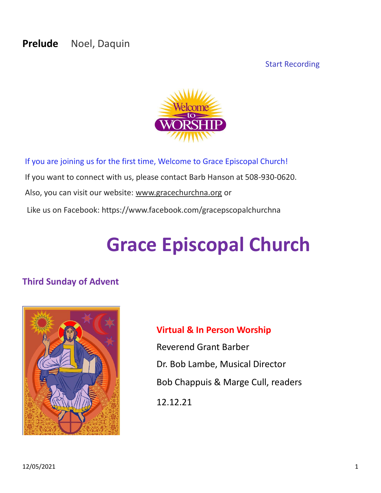# **Prelude** Noel, Daquin

#### Start Recording



If you are joining us for the first time, Welcome to Grace Episcopal Church! If you want to connect with us, please contact Barb Hanson at 508-930-0620. Also, you can visit our website: [www.gracechurchna.org](http://www.gracechurchna.org/) or Like us on Facebook: https://www.facebook.com/gracepscopalchurchna

# **Grace Episcopal Church**

#### **Third Sunday of Advent**



#### **Virtual & In Person Worship**

Reverend Grant Barber Dr. Bob Lambe, Musical Director Bob Chappuis & Marge Cull, readers 12.12.21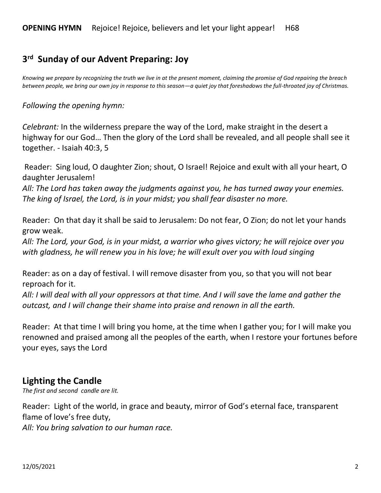# **3 rd Sunday of our Advent Preparing: Joy**

*Knowing we prepare by recognizing the truth we live in at the present moment, claiming the promise of God repairing the breach between people, we bring our own joy in response to this season—a quiet joy that foreshadows the full-throated joy of Christmas.*

*Following the opening hymn:*

*Celebrant:* In the wilderness prepare the way of the Lord, make straight in the desert a highway for our God… Then the glory of the Lord shall be revealed, and all people shall see it together. - Isaiah 40:3, 5

Reader: Sing loud, O daughter Zion; shout, O Israel! Rejoice and exult with all your heart, O daughter Jerusalem!

*All: The Lord has taken away the judgments against you, he has turned away your enemies. The king of Israel, the Lord, is in your midst; you shall fear disaster no more.*

Reader: On that day it shall be said to Jerusalem: Do not fear, O Zion; do not let your hands grow weak.

*All: The Lord, your God, is in your midst, a warrior who gives victory; he will rejoice over you with gladness, he will renew you in his love; he will exult over you with loud singing* 

Reader: as on a day of festival. I will remove disaster from you, so that you will not bear reproach for it.

*All: I will deal with all your oppressors at that time. And I will save the lame and gather the outcast, and I will change their shame into praise and renown in all the earth.* 

Reader: At that time I will bring you home, at the time when I gather you; for I will make you renowned and praised among all the peoples of the earth, when I restore your fortunes before your eyes, says the Lord

#### **Lighting the Candle**

*The first and second candle are lit.* 

Reader: Light of the world, in grace and beauty, mirror of God's eternal face, transparent flame of love's free duty,

*All: You bring salvation to our human race.*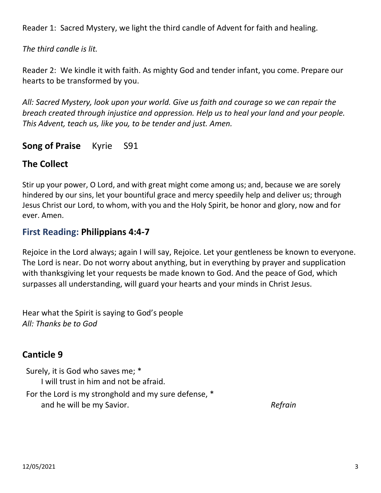Reader 1: Sacred Mystery, we light the third candle of Advent for faith and healing.

*The third candle is lit.* 

Reader 2: We kindle it with faith. As mighty God and tender infant, you come. Prepare our hearts to be transformed by you.

*All: Sacred Mystery, look upon your world. Give us faith and courage so we can repair the breach created through injustice and oppression. Help us to heal your land and your people. This Advent, teach us, like you, to be tender and just. Amen.*

# **Song of Praise** Kyrie S91

# **The Collect**

Stir up your power, O Lord, and with great might come among us; and, because we are sorely hindered by our sins, let your bountiful grace and mercy speedily help and deliver us; through Jesus Christ our Lord, to whom, with you and the Holy Spirit, be honor and glory, now and for ever. Amen.

# **First Reading: Philippians 4:4-7**

Rejoice in the Lord always; again I will say, Rejoice. Let your gentleness be known to everyone. The Lord is near. Do not worry about anything, but in everything by prayer and supplication with thanksgiving let your requests be made known to God. And the peace of God, which surpasses all understanding, will guard your hearts and your minds in Christ Jesus.

Hear what the Spirit is saying to God's people *All: Thanks be to God*

# **Canticle 9**

Surely, it is God who saves me; \* I will trust in him and not be afraid. For the Lord is my stronghold and my sure defense, \* and he will be my Savior. *Refrain*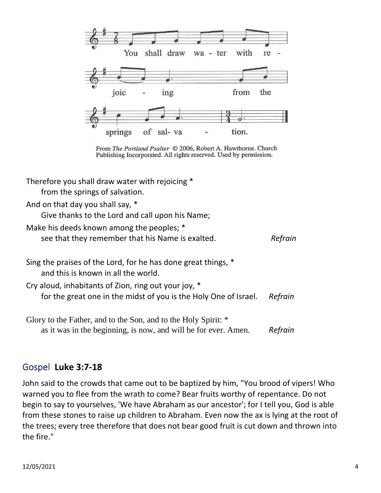

From The Portland Psalter © 2006, Robert A. Hawthorne. Church Publishing Incorporated. All rights reserved. Used by permission.

Therefore you shall draw water with rejoicing \*

from the springs of salvation.

And on that day you shall say, \*

Give thanks to the Lord and call upon his Name;

Make his deeds known among the peoples; \*

see that they remember that his Name is exalted. *Refrain*

| Sing the praises of the Lord, for he has done great things, *<br>and this is known in all the world.                     |         |
|--------------------------------------------------------------------------------------------------------------------------|---------|
| Cry aloud, inhabitants of Zion, ring out your joy, *<br>for the great one in the midst of you is the Holy One of Israel. | Refrain |
| Glory to the Father, and to the Son, and to the Holy Spirit: *                                                           |         |

as it was in the beginning, is now, and will be for ever. Amen. *Refrain*

#### Gospel **Luke 3:7-18**

John said to the crowds that came out to be baptized by him, "You brood of vipers! Who warned you to flee from the wrath to come? Bear fruits worthy of repentance. Do not begin to say to yourselves, 'We have Abraham as our ancestor'; for I tell you, God is able from these stones to raise up children to Abraham. Even now the ax is lying at the root of the trees; every tree therefore that does not bear good fruit is cut down and thrown into the fire."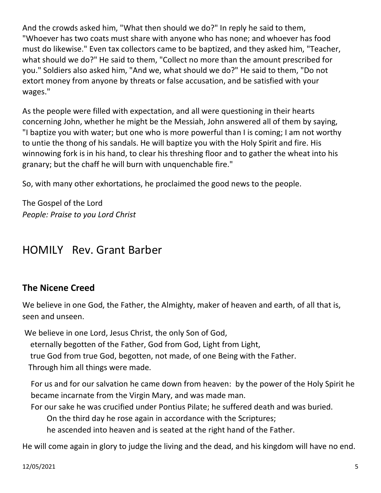And the crowds asked him, "What then should we do?" In reply he said to them, "Whoever has two coats must share with anyone who has none; and whoever has food must do likewise." Even tax collectors came to be baptized, and they asked him, "Teacher, what should we do?" He said to them, "Collect no more than the amount prescribed for you." Soldiers also asked him, "And we, what should we do?" He said to them, "Do not extort money from anyone by threats or false accusation, and be satisfied with your wages."

As the people were filled with expectation, and all were questioning in their hearts concerning John, whether he might be the Messiah, John answered all of them by saying, "I baptize you with water; but one who is more powerful than I is coming; I am not worthy to untie the thong of his sandals. He will baptize you with the Holy Spirit and fire. His winnowing fork is in his hand, to clear his threshing floor and to gather the wheat into his granary; but the chaff he will burn with unquenchable fire."

So, with many other exhortations, he proclaimed the good news to the people.

The Gospel of the Lord *People: Praise to you Lord Christ*

# HOMILY Rev. Grant Barber

# **The Nicene Creed**

We believe in one God, the Father, the Almighty, maker of heaven and earth, of all that is, seen and unseen.

We believe in one Lord, Jesus Christ, the only Son of God, eternally begotten of the Father, God from God, Light from Light, true God from true God, begotten, not made, of one Being with the Father. Through him all things were made.

For us and for our salvation he came down from heaven: by the power of the Holy Spirit he became incarnate from the Virgin Mary, and was made man.

For our sake he was crucified under Pontius Pilate; he suffered death and was buried.

On the third day he rose again in accordance with the Scriptures;

he ascended into heaven and is seated at the right hand of the Father.

He will come again in glory to judge the living and the dead, and his kingdom will have no end.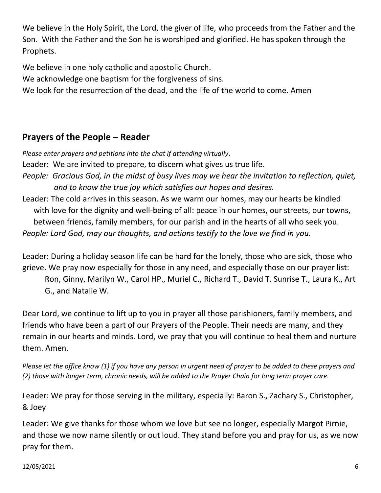We believe in the Holy Spirit, the Lord, the giver of life, who proceeds from the Father and the Son. With the Father and the Son he is worshiped and glorified. He has spoken through the Prophets.

We believe in one holy catholic and apostolic Church.

We acknowledge one baptism for the forgiveness of sins.

We look for the resurrection of the dead, and the life of the world to come. Amen

# **Prayers of the People – Reader**

*Please enter prayers and petitions into the chat if attending virtually*.

Leader: We are invited to prepare, to discern what gives us true life.

- *People: Gracious God, in the midst of busy lives may we hear the invitation to reflection, quiet, and to know the true joy which satisfies our hopes and desires.*
- Leader: The cold arrives in this season. As we warm our homes, may our hearts be kindled with love for the dignity and well-being of all: peace in our homes, our streets, our towns, between friends, family members, for our parish and in the hearts of all who seek you. *People: Lord God, may our thoughts, and actions testify to the love we find in you.*

Leader: During a holiday season life can be hard for the lonely, those who are sick, those who grieve. We pray now especially for those in any need, and especially those on our prayer list:

Ron, Ginny, Marilyn W., Carol HP., Muriel C., Richard T., David T. Sunrise T., Laura K., Art G., and Natalie W.

Dear Lord, we continue to lift up to you in prayer all those parishioners, family members, and friends who have been a part of our Prayers of the People. Their needs are many, and they remain in our hearts and minds. Lord, we pray that you will continue to heal them and nurture them. Amen.

*Please let the office know (1) if you have any person in urgent need of prayer to be added to these prayers and (2) those with longer term, chronic needs, will be added to the Prayer Chain for long term prayer care.*

Leader: We pray for those serving in the military, especially: Baron S., Zachary S., Christopher, & Joey

Leader: We give thanks for those whom we love but see no longer, especially Margot Pirnie, and those we now name silently or out loud. They stand before you and pray for us, as we now pray for them.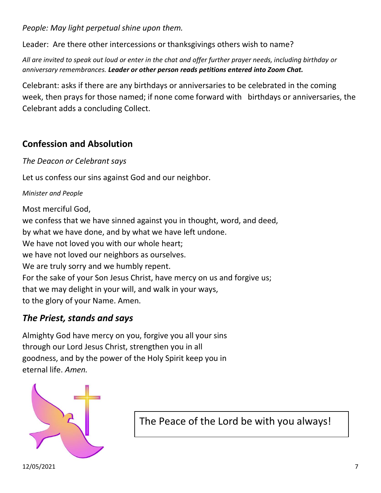*People: May light perpetual shine upon them.*

Leader: Are there other intercessions or thanksgivings others wish to name?

*All are invited to speak out loud or enter in the chat and offer further prayer needs, including birthday or anniversary remembrances. Leader or other person reads petitions entered into Zoom Chat.*

Celebrant: asks if there are any birthdays or anniversaries to be celebrated in the coming week, then prays for those named; if none come forward with birthdays or anniversaries, the Celebrant adds a concluding Collect.

# **Confession and Absolution**

*The Deacon or Celebrant says*

Let us confess our sins against God and our neighbor.

*Minister and People*

Most merciful God, we confess that we have sinned against you in thought, word, and deed, by what we have done, and by what we have left undone. We have not loved you with our whole heart; we have not loved our neighbors as ourselves. We are truly sorry and we humbly repent. For the sake of your Son Jesus Christ, have mercy on us and forgive us; that we may delight in your will, and walk in your ways, to the glory of your Name. Amen.

# *The Priest, stands and says*

Almighty God have mercy on you, forgive you all your sins through our Lord Jesus Christ, strengthen you in all goodness, and by the power of the Holy Spirit keep you in eternal life. *Amen.*



The Peace of the Lord be with you always!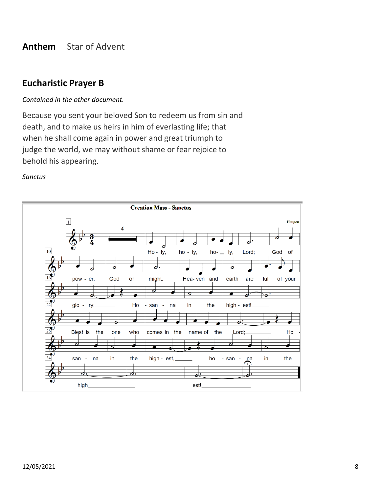#### **Anthem** Star of Advent

#### **Eucharistic Prayer B**

#### *Contained in the other document.*

Because you sent your beloved Son to redeem us from sin and death, and to make us heirs in him of everlasting life; that when he shall come again in power and great triumph to judge the world, we may without shame or fear rejoice to behold his appearing.

#### *Sanctus*

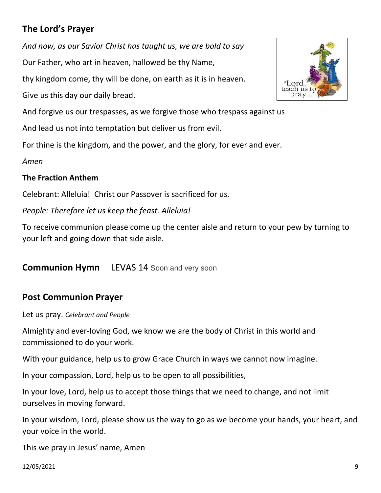# **The Lord's Prayer**

*And now, as our Savior Christ has taught us, we are bold to say* Our Father, who art in heaven, hallowed be thy Name,

thy kingdom come, thy will be done, on earth as it is in heaven.

Give us this day our daily bread.

And forgive us our trespasses, as we forgive those who trespass against us

And lead us not into temptation but deliver us from evil.

For thine is the kingdom, and the power, and the glory, for ever and ever.

*Amen*

#### **The Fraction Anthem**

Celebrant: Alleluia! Christ our Passover is sacrificed for us.

*People: Therefore let us keep the feast. Alleluia!* 

To receive communion please come up the center aisle and return to your pew by turning to your left and going down that side aisle.

**Communion Hymn** LEVAS 14 Soon and very soon

# **Post Communion Prayer**

Let us pray. *Celebrant and People*

Almighty and ever-loving God, we know we are the body of Christ in this world and commissioned to do your work.

With your guidance, help us to grow Grace Church in ways we cannot now imagine.

In your compassion, Lord, help us to be open to all possibilities,

In your love, Lord, help us to accept those things that we need to change, and not limit ourselves in moving forward.

In your wisdom, Lord, please show us the way to go as we become your hands, your heart, and your voice in the world.

This we pray in Jesus' name, Amen

12/05/2021 9